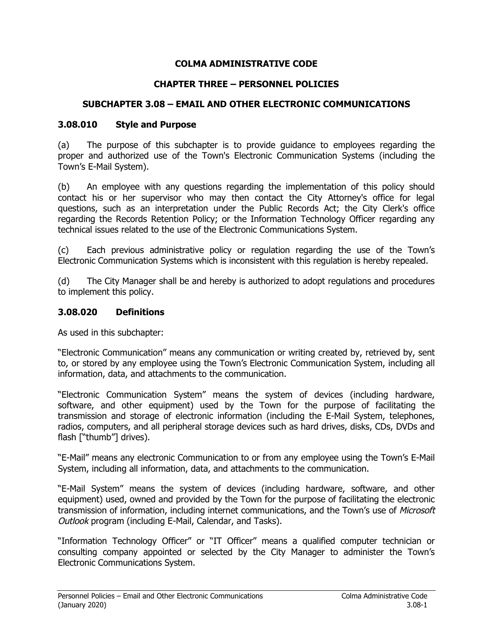### **COLMA ADMINISTRATIVE CODE**

## **CHAPTER THREE – PERSONNEL POLICIES**

## **SUBCHAPTER 3.08 – EMAIL AND OTHER ELECTRONIC COMMUNICATIONS**

### **3.08.010 Style and Purpose**

(a) The purpose of this subchapter is to provide guidance to employees regarding the proper and authorized use of the Town's Electronic Communication Systems (including the Town's E-Mail System).

(b) An employee with any questions regarding the implementation of this policy should contact his or her supervisor who may then contact the City Attorney's office for legal questions, such as an interpretation under the Public Records Act; the City Clerk's office regarding the Records Retention Policy; or the Information Technology Officer regarding any technical issues related to the use of the Electronic Communications System.

(c) Each previous administrative policy or regulation regarding the use of the Town's Electronic Communication Systems which is inconsistent with this regulation is hereby repealed.

(d) The City Manager shall be and hereby is authorized to adopt regulations and procedures to implement this policy.

## **3.08.020 Definitions**

As used in this subchapter:

"Electronic Communication" means any communication or writing created by, retrieved by, sent to, or stored by any employee using the Town's Electronic Communication System, including all information, data, and attachments to the communication.

"Electronic Communication System" means the system of devices (including hardware, software, and other equipment) used by the Town for the purpose of facilitating the transmission and storage of electronic information (including the E-Mail System, telephones, radios, computers, and all peripheral storage devices such as hard drives, disks, CDs, DVDs and flash ["thumb"] drives).

"E-Mail" means any electronic Communication to or from any employee using the Town's E-Mail System, including all information, data, and attachments to the communication.

"E-Mail System" means the system of devices (including hardware, software, and other equipment) used, owned and provided by the Town for the purpose of facilitating the electronic transmission of information, including internet communications, and the Town's use of Microsoft Outlook program (including E-Mail, Calendar, and Tasks).

"Information Technology Officer" or "IT Officer" means a qualified computer technician or consulting company appointed or selected by the City Manager to administer the Town's Electronic Communications System.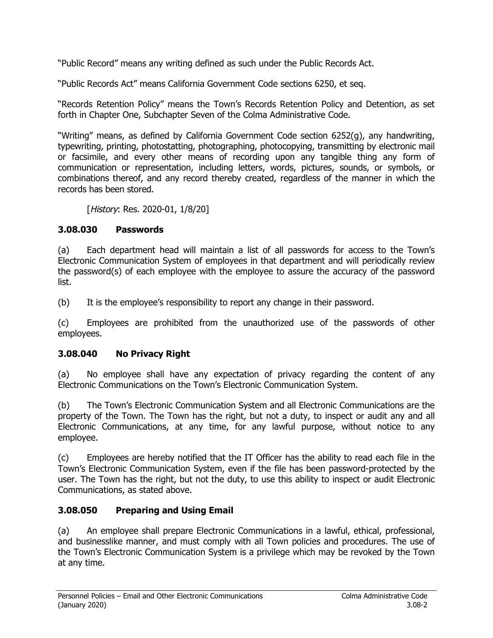"Public Record" means any writing defined as such under the Public Records Act.

"Public Records Act" means California Government Code sections 6250, et seq.

"Records Retention Policy" means the Town's Records Retention Policy and Detention, as set forth in Chapter One, Subchapter Seven of the Colma Administrative Code.

"Writing" means, as defined by California Government Code section 6252(g), any handwriting, typewriting, printing, photostatting, photographing, photocopying, transmitting by electronic mail or facsimile, and every other means of recording upon any tangible thing any form of communication or representation, including letters, words, pictures, sounds, or symbols, or combinations thereof, and any record thereby created, regardless of the manner in which the records has been stored.

[History: Res. 2020-01, 1/8/20]

# **3.08.030 Passwords**

(a) Each department head will maintain a list of all passwords for access to the Town's Electronic Communication System of employees in that department and will periodically review the password(s) of each employee with the employee to assure the accuracy of the password list.

(b) It is the employee's responsibility to report any change in their password.

(c) Employees are prohibited from the unauthorized use of the passwords of other employees.

# **3.08.040 No Privacy Right**

(a) No employee shall have any expectation of privacy regarding the content of any Electronic Communications on the Town's Electronic Communication System.

(b) The Town's Electronic Communication System and all Electronic Communications are the property of the Town. The Town has the right, but not a duty, to inspect or audit any and all Electronic Communications, at any time, for any lawful purpose, without notice to any employee.

(c) Employees are hereby notified that the IT Officer has the ability to read each file in the Town's Electronic Communication System, even if the file has been password-protected by the user. The Town has the right, but not the duty, to use this ability to inspect or audit Electronic Communications, as stated above.

# **3.08.050 Preparing and Using Email**

(a) An employee shall prepare Electronic Communications in a lawful, ethical, professional, and businesslike manner, and must comply with all Town policies and procedures. The use of the Town's Electronic Communication System is a privilege which may be revoked by the Town at any time.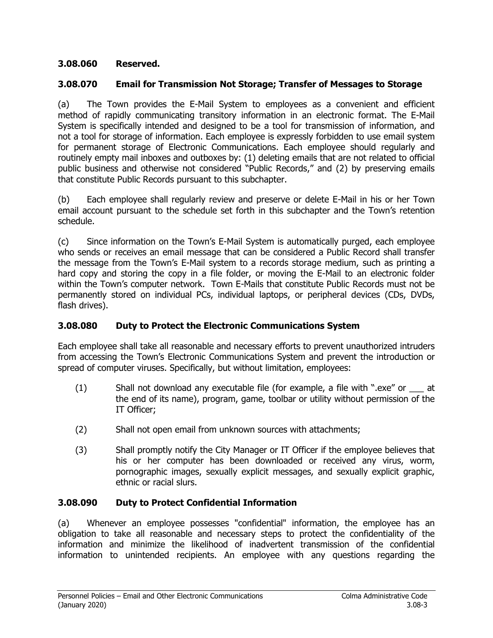## **3.08.060 Reserved.**

## **3.08.070 Email for Transmission Not Storage; Transfer of Messages to Storage**

(a) The Town provides the E-Mail System to employees as a convenient and efficient method of rapidly communicating transitory information in an electronic format. The E-Mail System is specifically intended and designed to be a tool for transmission of information, and not a tool for storage of information. Each employee is expressly forbidden to use email system for permanent storage of Electronic Communications. Each employee should regularly and routinely empty mail inboxes and outboxes by: (1) deleting emails that are not related to official public business and otherwise not considered "Public Records," and (2) by preserving emails that constitute Public Records pursuant to this subchapter.

(b) Each employee shall regularly review and preserve or delete E-Mail in his or her Town email account pursuant to the schedule set forth in this subchapter and the Town's retention schedule.

(c) Since information on the Town's E-Mail System is automatically purged, each employee who sends or receives an email message that can be considered a Public Record shall transfer the message from the Town's E-Mail system to a records storage medium, such as printing a hard copy and storing the copy in a file folder, or moving the E-Mail to an electronic folder within the Town's computer network. Town E-Mails that constitute Public Records must not be permanently stored on individual PCs, individual laptops, or peripheral devices (CDs, DVDs, flash drives).

### **3.08.080 Duty to Protect the Electronic Communications System**

Each employee shall take all reasonable and necessary efforts to prevent unauthorized intruders from accessing the Town's Electronic Communications System and prevent the introduction or spread of computer viruses. Specifically, but without limitation, employees:

- (1) Shall not download any executable file (for example, a file with ".exe" or \_\_\_ at the end of its name), program, game, toolbar or utility without permission of the IT Officer;
- (2) Shall not open email from unknown sources with attachments;
- (3) Shall promptly notify the City Manager or IT Officer if the employee believes that his or her computer has been downloaded or received any virus, worm, pornographic images, sexually explicit messages, and sexually explicit graphic, ethnic or racial slurs.

### **3.08.090 Duty to Protect Confidential Information**

(a) Whenever an employee possesses "confidential" information, the employee has an obligation to take all reasonable and necessary steps to protect the confidentiality of the information and minimize the likelihood of inadvertent transmission of the confidential information to unintended recipients. An employee with any questions regarding the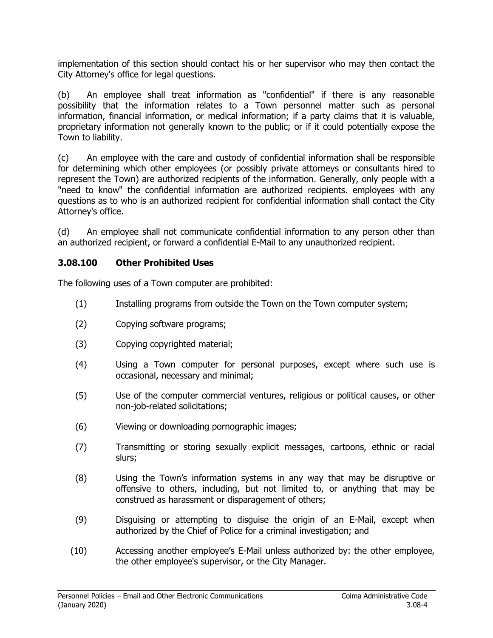implementation of this section should contact his or her supervisor who may then contact the City Attorney's office for legal questions.

(b) An employee shall treat information as "confidential" if there is any reasonable possibility that the information relates to a Town personnel matter such as personal information, financial information, or medical information; if a party claims that it is valuable, proprietary information not generally known to the public; or if it could potentially expose the Town to liability.

(c) An employee with the care and custody of confidential information shall be responsible for determining which other employees (or possibly private attorneys or consultants hired to represent the Town) are authorized recipients of the information. Generally, only people with a "need to know" the confidential information are authorized recipients. employees with any questions as to who is an authorized recipient for confidential information shall contact the City Attorney's office.

(d) An employee shall not communicate confidential information to any person other than an authorized recipient, or forward a confidential E-Mail to any unauthorized recipient.

### **3.08.100 Other Prohibited Uses**

The following uses of a Town computer are prohibited:

- (1) Installing programs from outside the Town on the Town computer system;
- (2) Copying software programs;
- (3) Copying copyrighted material;
- (4) Using a Town computer for personal purposes, except where such use is occasional, necessary and minimal;
- (5) Use of the computer commercial ventures, religious or political causes, or other non-job-related solicitations;
- (6) Viewing or downloading pornographic images;
- (7) Transmitting or storing sexually explicit messages, cartoons, ethnic or racial slurs;
- (8) Using the Town's information systems in any way that may be disruptive or offensive to others, including, but not limited to, or anything that may be construed as harassment or disparagement of others;
- (9) Disguising or attempting to disguise the origin of an E-Mail, except when authorized by the Chief of Police for a criminal investigation; and
- (10) Accessing another employee's E-Mail unless authorized by: the other employee, the other employee's supervisor, or the City Manager.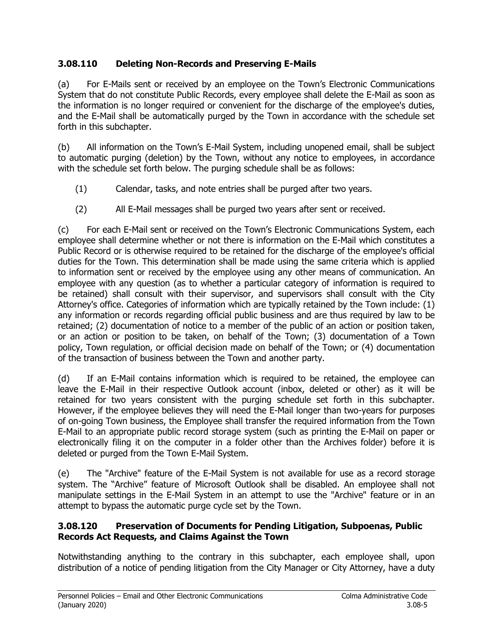# **3.08.110 Deleting Non-Records and Preserving E-Mails**

(a) For E-Mails sent or received by an employee on the Town's Electronic Communications System that do not constitute Public Records, every employee shall delete the E-Mail as soon as the information is no longer required or convenient for the discharge of the employee's duties, and the E-Mail shall be automatically purged by the Town in accordance with the schedule set forth in this subchapter.

(b) All information on the Town's E-Mail System, including unopened email, shall be subject to automatic purging (deletion) by the Town, without any notice to employees, in accordance with the schedule set forth below. The purging schedule shall be as follows:

- (1) Calendar, tasks, and note entries shall be purged after two years.
- (2) All E-Mail messages shall be purged two years after sent or received.

(c) For each E-Mail sent or received on the Town's Electronic Communications System, each employee shall determine whether or not there is information on the E-Mail which constitutes a Public Record or is otherwise required to be retained for the discharge of the employee's official duties for the Town. This determination shall be made using the same criteria which is applied to information sent or received by the employee using any other means of communication. An employee with any question (as to whether a particular category of information is required to be retained) shall consult with their supervisor, and supervisors shall consult with the City Attorney's office. Categories of information which are typically retained by the Town include: (1) any information or records regarding official public business and are thus required by law to be retained; (2) documentation of notice to a member of the public of an action or position taken, or an action or position to be taken, on behalf of the Town; (3) documentation of a Town policy, Town regulation, or official decision made on behalf of the Town; or (4) documentation of the transaction of business between the Town and another party.

(d) If an E-Mail contains information which is required to be retained, the employee can leave the E-Mail in their respective Outlook account (inbox, deleted or other) as it will be retained for two years consistent with the purging schedule set forth in this subchapter. However, if the employee believes they will need the E-Mail longer than two-years for purposes of on-going Town business, the Employee shall transfer the required information from the Town E-Mail to an appropriate public record storage system (such as printing the E-Mail on paper or electronically filing it on the computer in a folder other than the Archives folder) before it is deleted or purged from the Town E-Mail System.

(e) The "Archive" feature of the E-Mail System is not available for use as a record storage system. The "Archive" feature of Microsoft Outlook shall be disabled. An employee shall not manipulate settings in the E-Mail System in an attempt to use the "Archive" feature or in an attempt to bypass the automatic purge cycle set by the Town.

# **3.08.120 Preservation of Documents for Pending Litigation, Subpoenas, Public Records Act Requests, and Claims Against the Town**

Notwithstanding anything to the contrary in this subchapter, each employee shall, upon distribution of a notice of pending litigation from the City Manager or City Attorney, have a duty